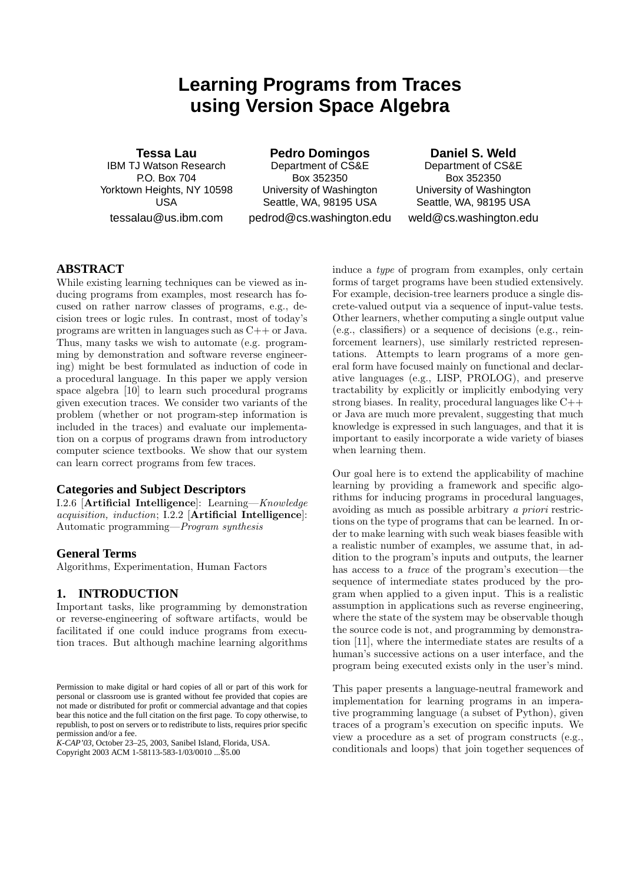# **Learning Programs from Traces using Version Space Algebra**

**Tessa Lau** IBM TJ Watson Research P.O. Box 704 Yorktown Heights, NY 10598 USA tessalau@us.ibm.com

**Pedro Domingos** Department of CS&E Box 352350 University of Washington Seattle, WA, 98195 USA

pedrod@cs.washington.edu

**Daniel S. Weld** Department of CS&E Box 352350 University of Washington Seattle, WA, 98195 USA weld@cs.washington.edu

## **ABSTRACT**

While existing learning techniques can be viewed as inducing programs from examples, most research has focused on rather narrow classes of programs, e.g., decision trees or logic rules. In contrast, most of today's programs are written in languages such as C++ or Java. Thus, many tasks we wish to automate (e.g. programming by demonstration and software reverse engineering) might be best formulated as induction of code in a procedural language. In this paper we apply version space algebra [10] to learn such procedural programs given execution traces. We consider two variants of the problem (whether or not program-step information is included in the traces) and evaluate our implementation on a corpus of programs drawn from introductory computer science textbooks. We show that our system can learn correct programs from few traces.

#### **Categories and Subject Descriptors**

I.2.6 [Artificial Intelligence]: Learning—Knowledge acquisition, induction; I.2.2 [Artificial Intelligence]: Automatic programming—Program synthesis

#### **General Terms**

Algorithms, Experimentation, Human Factors

## **1. INTRODUCTION**

Important tasks, like programming by demonstration or reverse-engineering of software artifacts, would be facilitated if one could induce programs from execution traces. But although machine learning algorithms

*K-CAP'03,* October 23–25, 2003, Sanibel Island, Florida, USA. Copyright 2003 ACM 1-58113-583-1/03/0010 ...\$5.00

induce a type of program from examples, only certain forms of target programs have been studied extensively. For example, decision-tree learners produce a single discrete-valued output via a sequence of input-value tests. Other learners, whether computing a single output value (e.g., classifiers) or a sequence of decisions (e.g., reinforcement learners), use similarly restricted representations. Attempts to learn programs of a more general form have focused mainly on functional and declarative languages (e.g., LISP, PROLOG), and preserve tractability by explicitly or implicitly embodying very strong biases. In reality, procedural languages like C++ or Java are much more prevalent, suggesting that much knowledge is expressed in such languages, and that it is important to easily incorporate a wide variety of biases when learning them.

Our goal here is to extend the applicability of machine learning by providing a framework and specific algorithms for inducing programs in procedural languages, avoiding as much as possible arbitrary a priori restrictions on the type of programs that can be learned. In order to make learning with such weak biases feasible with a realistic number of examples, we assume that, in addition to the program's inputs and outputs, the learner has access to a trace of the program's execution—the sequence of intermediate states produced by the program when applied to a given input. This is a realistic assumption in applications such as reverse engineering, where the state of the system may be observable though the source code is not, and programming by demonstration [11], where the intermediate states are results of a human's successive actions on a user interface, and the program being executed exists only in the user's mind.

This paper presents a language-neutral framework and implementation for learning programs in an imperative programming language (a subset of Python), given traces of a program's execution on specific inputs. We view a procedure as a set of program constructs (e.g., conditionals and loops) that join together sequences of

Permission to make digital or hard copies of all or part of this work for personal or classroom use is granted without fee provided that copies are not made or distributed for profit or commercial advantage and that copies bear this notice and the full citation on the first page. To copy otherwise, to republish, to post on servers or to redistribute to lists, requires prior specific permission and/or a fee.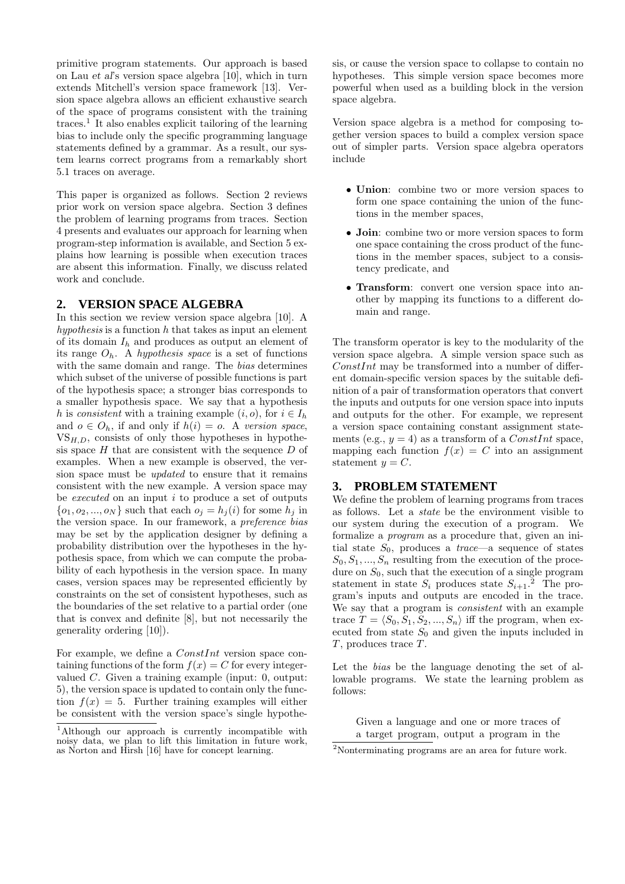primitive program statements. Our approach is based on Lau et al's version space algebra [10], which in turn extends Mitchell's version space framework [13]. Version space algebra allows an efficient exhaustive search of the space of programs consistent with the training traces.<sup>1</sup> It also enables explicit tailoring of the learning bias to include only the specific programming language statements defined by a grammar. As a result, our system learns correct programs from a remarkably short 5.1 traces on average.

This paper is organized as follows. Section 2 reviews prior work on version space algebra. Section 3 defines the problem of learning programs from traces. Section 4 presents and evaluates our approach for learning when program-step information is available, and Section 5 explains how learning is possible when execution traces are absent this information. Finally, we discuss related work and conclude.

#### **2. VERSION SPACE ALGEBRA**

In this section we review version space algebra [10]. A  $hypothesis$  is a function h that takes as input an element of its domain  $I_h$  and produces as output an element of its range  $O_h$ . A *hypothesis space* is a set of functions with the same domain and range. The bias determines which subset of the universe of possible functions is part of the hypothesis space; a stronger bias corresponds to a smaller hypothesis space. We say that a hypothesis h is consistent with a training example  $(i, o)$ , for  $i \in I_h$ and  $o \in O_h$ , if and only if  $h(i) = o$ . A version space,  $VS_{H,D}$ , consists of only those hypotheses in hypothesis space  $H$  that are consistent with the sequence  $D$  of examples. When a new example is observed, the version space must be updated to ensure that it remains consistent with the new example. A version space may be executed on an input  $i$  to produce a set of outputs  $\{o_1, o_2, ..., o_N\}$  such that each  $o_i = h_i(i)$  for some  $h_i$  in the version space. In our framework, a preference bias may be set by the application designer by defining a probability distribution over the hypotheses in the hypothesis space, from which we can compute the probability of each hypothesis in the version space. In many cases, version spaces may be represented efficiently by constraints on the set of consistent hypotheses, such as the boundaries of the set relative to a partial order (one that is convex and definite [8], but not necessarily the generality ordering [10]).

For example, we define a ConstInt version space containing functions of the form  $f(x) = C$  for every integervalued C. Given a training example (input: 0, output: 5), the version space is updated to contain only the function  $f(x) = 5$ . Further training examples will either be consistent with the version space's single hypothesis, or cause the version space to collapse to contain no hypotheses. This simple version space becomes more powerful when used as a building block in the version space algebra.

Version space algebra is a method for composing together version spaces to build a complex version space out of simpler parts. Version space algebra operators include

- Union: combine two or more version spaces to form one space containing the union of the functions in the member spaces,
- **Join:** combine two or more version spaces to form one space containing the cross product of the functions in the member spaces, subject to a consistency predicate, and
- Transform: convert one version space into another by mapping its functions to a different domain and range.

The transform operator is key to the modularity of the version space algebra. A simple version space such as  $ConstInt$  may be transformed into a number of different domain-specific version spaces by the suitable definition of a pair of transformation operators that convert the inputs and outputs for one version space into inputs and outputs for the other. For example, we represent a version space containing constant assignment statements (e.g.,  $y = 4$ ) as a transform of a *ConstInt* space, mapping each function  $f(x) = C$  into an assignment statement  $y = C$ .

## **3. PROBLEM STATEMENT**

We define the problem of learning programs from traces as follows. Let a state be the environment visible to our system during the execution of a program. We formalize a program as a procedure that, given an initial state  $S_0$ , produces a *trace*—a sequence of states  $S_0, S_1, ..., S_n$  resulting from the execution of the procedure on  $S_0$ , such that the execution of a single program statement in state  $S_i$  produces state  $S_{i+1}$ <sup>2</sup>. The program's inputs and outputs are encoded in the trace. We say that a program is consistent with an example trace  $T = \langle S_0, S_1, S_2, ..., S_n \rangle$  iff the program, when executed from state  $S_0$  and given the inputs included in T, produces trace T.

Let the bias be the language denoting the set of allowable programs. We state the learning problem as follows:

Given a language and one or more traces of a target program, output a program in the

<sup>1</sup>Although our approach is currently incompatible with noisy data, we plan to lift this limitation in future work, as Norton and Hirsh [16] have for concept learning.

<sup>2</sup>Nonterminating programs are an area for future work.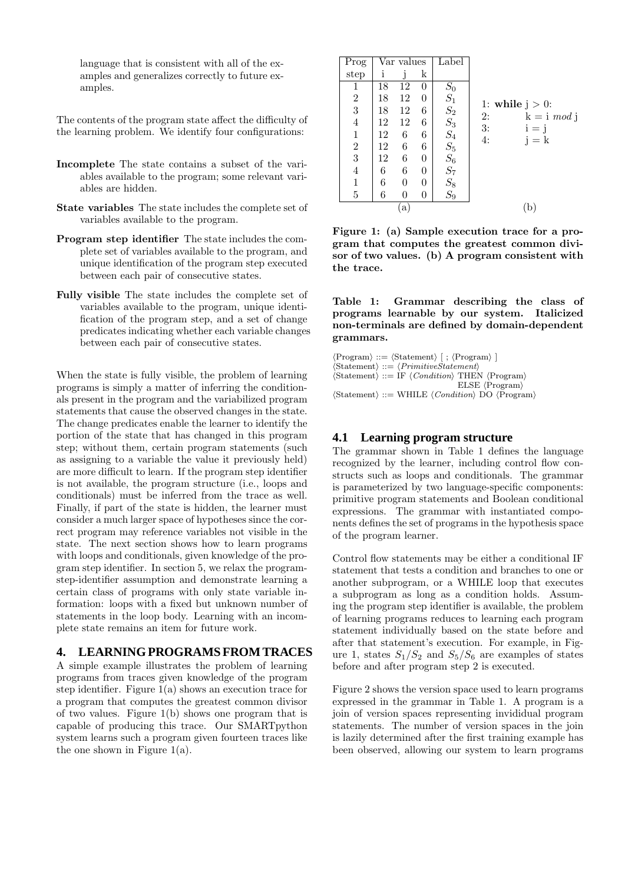language that is consistent with all of the examples and generalizes correctly to future examples.

The contents of the program state affect the difficulty of the learning problem. We identify four configurations:

- Incomplete The state contains a subset of the variables available to the program; some relevant variables are hidden.
- State variables The state includes the complete set of variables available to the program.
- Program step identifier The state includes the complete set of variables available to the program, and unique identification of the program step executed between each pair of consecutive states.
- Fully visible The state includes the complete set of variables available to the program, unique identification of the program step, and a set of change predicates indicating whether each variable changes between each pair of consecutive states.

When the state is fully visible, the problem of learning programs is simply a matter of inferring the conditionals present in the program and the variabilized program statements that cause the observed changes in the state. The change predicates enable the learner to identify the portion of the state that has changed in this program step; without them, certain program statements (such as assigning to a variable the value it previously held) are more difficult to learn. If the program step identifier is not available, the program structure (i.e., loops and conditionals) must be inferred from the trace as well. Finally, if part of the state is hidden, the learner must consider a much larger space of hypotheses since the correct program may reference variables not visible in the state. The next section shows how to learn programs with loops and conditionals, given knowledge of the program step identifier. In section 5, we relax the programstep-identifier assumption and demonstrate learning a certain class of programs with only state variable information: loops with a fixed but unknown number of statements in the loop body. Learning with an incomplete state remains an item for future work.

#### **4. LEARNING PROGRAMS FROM TRACES**

A simple example illustrates the problem of learning programs from traces given knowledge of the program step identifier. Figure  $1(a)$  shows an execution trace for a program that computes the greatest common divisor of two values. Figure 1(b) shows one program that is capable of producing this trace. Our SMARTpython system learns such a program given fourteen traces like the one shown in Figure 1(a).

| Prog           |    | Var values     |                | Label                                            |                          |
|----------------|----|----------------|----------------|--------------------------------------------------|--------------------------|
| step           | i  |                | k              |                                                  |                          |
| 1              | 18 | 12             | 0              | $S_0$                                            |                          |
| $\sqrt{2}$     | 18 | 12             | 0              | $\mathcal{S}_1$                                  | 1: while $j > 0$ :       |
| 3              | 18 | 12             | 6              |                                                  | 2:<br>$k = i \mod j$     |
| $\overline{4}$ | 12 | 12             | 6              | $\begin{array}{c} S_2 \\ S_3 \\ S_4 \end{array}$ | 3:                       |
| $\mathbf{1}$   | 12 | 6              | 6              |                                                  | $i = j$<br>4:<br>$i = k$ |
| $\sqrt{2}$     | 12 | 6              | 6              | $\mathcal{S}_5$                                  |                          |
| 3              | 12 | 6              | $\overline{0}$ |                                                  |                          |
| $\overline{4}$ | 6  | 6              | $\overline{0}$ | $S_6$<br>$S_7$<br>$S_8$<br>$S_9$                 |                          |
| $\mathbf 1$    | 6  | $\overline{0}$ | $\theta$       |                                                  |                          |
| $\bf 5$        | 6  | 0              | 0              |                                                  |                          |
|                |    | $\mathbf{a}$   |                | b                                                |                          |

Figure 1: (a) Sample execution trace for a program that computes the greatest common divisor of two values. (b) A program consistent with the trace.

Table 1: Grammar describing the class of programs learnable by our system. Italicized non-terminals are defined by domain-dependent grammars.

 $\langle$ Program $\rangle ::= \langle$ Statement $\rangle$  [ ;  $\langle$ Program $\rangle$  ]  $\langle$ Statement $\rangle ::= \langle \text{PrimitiveStatement} \rangle$  $\langle {\rm Statement} \rangle$  ::= IF  $\langle {Condition} \rangle$  THEN  $\langle {\rm Program} \rangle$  $ELSE \langle Program \rangle$  $\langle$ Statement $\rangle ::=$  WHILE  $\langle Condition \rangle$  DO  $\langle Program \rangle$ 

### **4.1 Learning program structure**

The grammar shown in Table 1 defines the language recognized by the learner, including control flow constructs such as loops and conditionals. The grammar is parameterized by two language-specific components: primitive program statements and Boolean conditional expressions. The grammar with instantiated components defines the set of programs in the hypothesis space of the program learner.

Control flow statements may be either a conditional IF statement that tests a condition and branches to one or another subprogram, or a WHILE loop that executes a subprogram as long as a condition holds. Assuming the program step identifier is available, the problem of learning programs reduces to learning each program statement individually based on the state before and after that statement's execution. For example, in Figure 1, states  $S_1/S_2$  and  $S_5/S_6$  are examples of states before and after program step 2 is executed.

Figure 2 shows the version space used to learn programs expressed in the grammar in Table 1. A program is a join of version spaces representing invididual program statements. The number of version spaces in the join is lazily determined after the first training example has been observed, allowing our system to learn programs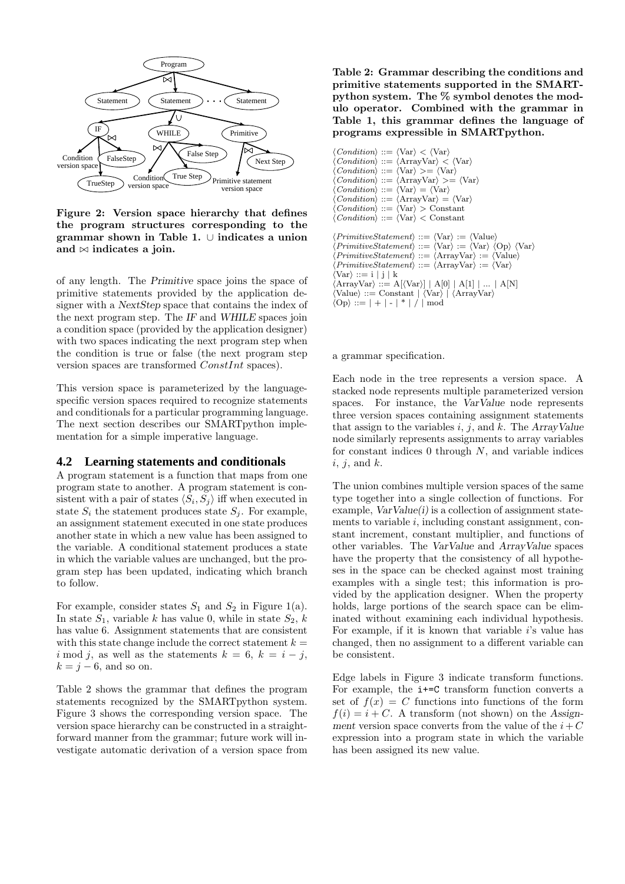

Figure 2: Version space hierarchy that defines the program structures corresponding to the grammar shown in Table 1. ∪ indicates a union and  $\bowtie$  indicates a join.

of any length. The Primitive space joins the space of primitive statements provided by the application designer with a NextStep space that contains the index of the next program step. The IF and WHILE spaces join a condition space (provided by the application designer) with two spaces indicating the next program step when the condition is true or false (the next program step version spaces are transformed ConstInt spaces).

This version space is parameterized by the languagespecific version spaces required to recognize statements and conditionals for a particular programming language. The next section describes our SMARTpython implementation for a simple imperative language.

#### **4.2 Learning statements and conditionals**

A program statement is a function that maps from one program state to another. A program statement is consistent with a pair of states  $\langle S_i, S_j \rangle$  iff when executed in state  $S_i$  the statement produces state  $S_i$ . For example, an assignment statement executed in one state produces another state in which a new value has been assigned to the variable. A conditional statement produces a state in which the variable values are unchanged, but the program step has been updated, indicating which branch to follow.

For example, consider states  $S_1$  and  $S_2$  in Figure 1(a). In state  $S_1$ , variable k has value 0, while in state  $S_2$ , k has value 6. Assignment statements that are consistent with this state change include the correct statement  $k =$ i mod j, as well as the statements  $k = 6, k = i - j$ ,  $k = j - 6$ , and so on.

Table 2 shows the grammar that defines the program statements recognized by the SMARTpython system. Figure 3 shows the corresponding version space. The version space hierarchy can be constructed in a straightforward manner from the grammar; future work will investigate automatic derivation of a version space from

Table 2: Grammar describing the conditions and primitive statements supported in the SMARTpython system. The % symbol denotes the modulo operator. Combined with the grammar in Table 1, this grammar defines the language of programs expressible in SMARTpython.

```
\langle Condition \rangle ::= \langle Var \rangle < \langle Var \rangle\langle Condition \rangle ::= \langle ArrayVar \rangle < \langle Var \rangle<br>\langle Condition \rangle ::= \langle Var \rangle \rangle = \langle Var \rangle\langle \text{Var} \rangle \geq = \langle \text{Var} \rangle\langle Condition \rangle ::= \langle ArrayVar \rangle \rangle = \langle Var \rangle\langle Condition \rangle ::= \langle Var \rangle = \langle Var \rangle<br>\langle Condition \rangle ::= \langle ArrayVar \rangle =\langle \text{ArrayVar} \rangle = \langle \text{Var} \rangle\langle Condition \rangle ::= \langle \text{Var} \rangle > \text{Constant}\langle Condition \rangle ::= \langle \text{Var} \rangle < \text{Constant}\langle PrimitiveStatement \rangle ::= \langle \text{Var} \rangle := \langle \text{Value} \rangle\langle PrimitiveStatement \rangle ::= \langle \text{Var} \rangle := \langle \text{Var} \rangle \langle \text{Op} \rangle \langle \text{Var} \rangle\langle PrimitiveStatement \rangle ::= \langle ArrayVar \rangle := \langle Value \ranglePrimitiveStatement \ ::= \ \langle ArrayVar \rangle := \langle Var \rangle\langle \text{Var} \rangle ::= i \mid j \mid k\langle \text{ArrayVar} \rangle ::= A[\langle \text{Var} \rangle] | A[0] | A[1] | \dots | A[N]\langle Value \rangle ::= Constant \langle \langle Var \rangle | \langle ArrayVar \rangle\langle \text{Op} \rangle ::= | + | - | * | / | \text{mod}
```
a grammar specification.

Each node in the tree represents a version space. A stacked node represents multiple parameterized version spaces. For instance, the VarValue node represents three version spaces containing assignment statements that assign to the variables  $i, j$ , and  $k$ . The ArrayValue node similarly represents assignments to array variables for constant indices  $0$  through  $N$ , and variable indices  $i, j, \text{ and } k.$ 

The union combines multiple version spaces of the same type together into a single collection of functions. For example,  $VarValue(i)$  is a collection of assignment statements to variable  $i$ , including constant assignment, constant increment, constant multiplier, and functions of other variables. The VarValue and ArrayValue spaces have the property that the consistency of all hypotheses in the space can be checked against most training examples with a single test; this information is provided by the application designer. When the property holds, large portions of the search space can be eliminated without examining each individual hypothesis. For example, if it is known that variable  $i$ 's value has changed, then no assignment to a different variable can be consistent.

Edge labels in Figure 3 indicate transform functions. For example, the i+=C transform function converts a set of  $f(x) = C$  functions into functions of the form  $f(i) = i + C$ . A transform (not shown) on the Assignment version space converts from the value of the  $i+C$ expression into a program state in which the variable has been assigned its new value.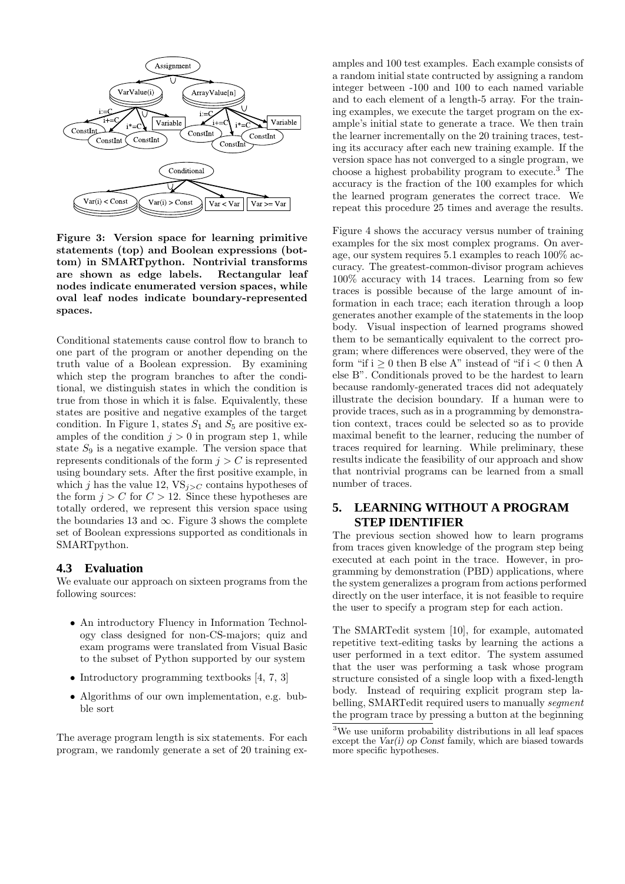

Figure 3: Version space for learning primitive statements (top) and Boolean expressions (bottom) in SMARTpython. Nontrivial transforms are shown as edge labels. Rectangular leaf nodes indicate enumerated version spaces, while oval leaf nodes indicate boundary-represented spaces.

Conditional statements cause control flow to branch to one part of the program or another depending on the truth value of a Boolean expression. By examining which step the program branches to after the conditional, we distinguish states in which the condition is true from those in which it is false. Equivalently, these states are positive and negative examples of the target condition. In Figure 1, states  $S_1$  and  $S_5$  are positive examples of the condition  $j > 0$  in program step 1, while state  $S_9$  is a negative example. The version space that represents conditionals of the form  $j > C$  is represented using boundary sets. After the first positive example, in which j has the value 12,  $VS_{i>C}$  contains hypotheses of the form  $j > C$  for  $C > 12$ . Since these hypotheses are totally ordered, we represent this version space using the boundaries 13 and  $\infty$ . Figure 3 shows the complete set of Boolean expressions supported as conditionals in SMARTpython.

#### **4.3 Evaluation**

We evaluate our approach on sixteen programs from the following sources:

- An introductory Fluency in Information Technology class designed for non-CS-majors; quiz and exam programs were translated from Visual Basic to the subset of Python supported by our system
- Introductory programming textbooks [4, 7, 3]
- Algorithms of our own implementation, e.g. bubble sort

The average program length is six statements. For each program, we randomly generate a set of 20 training ex-

amples and 100 test examples. Each example consists of a random initial state contructed by assigning a random integer between -100 and 100 to each named variable and to each element of a length-5 array. For the training examples, we execute the target program on the example's initial state to generate a trace. We then train the learner incrementally on the 20 training traces, testing its accuracy after each new training example. If the version space has not converged to a single program, we choose a highest probability program to execute.<sup>3</sup> The accuracy is the fraction of the 100 examples for which the learned program generates the correct trace. We repeat this procedure 25 times and average the results.

Figure 4 shows the accuracy versus number of training examples for the six most complex programs. On average, our system requires 5.1 examples to reach 100% accuracy. The greatest-common-divisor program achieves 100% accuracy with 14 traces. Learning from so few traces is possible because of the large amount of information in each trace; each iteration through a loop generates another example of the statements in the loop body. Visual inspection of learned programs showed them to be semantically equivalent to the correct program; where differences were observed, they were of the form "if  $i \geq 0$  then B else A" instead of "if  $i < 0$  then A else B". Conditionals proved to be the hardest to learn because randomly-generated traces did not adequately illustrate the decision boundary. If a human were to provide traces, such as in a programming by demonstration context, traces could be selected so as to provide maximal benefit to the learner, reducing the number of traces required for learning. While preliminary, these results indicate the feasibility of our approach and show that nontrivial programs can be learned from a small number of traces.

# **5. LEARNING WITHOUT A PROGRAM STEP IDENTIFIER**

The previous section showed how to learn programs from traces given knowledge of the program step being executed at each point in the trace. However, in programming by demonstration (PBD) applications, where the system generalizes a program from actions performed directly on the user interface, it is not feasible to require the user to specify a program step for each action.

The SMARTedit system [10], for example, automated repetitive text-editing tasks by learning the actions a user performed in a text editor. The system assumed that the user was performing a task whose program structure consisted of a single loop with a fixed-length body. Instead of requiring explicit program step labelling, SMARTedit required users to manually *segment* the program trace by pressing a button at the beginning

 $\overline{3W}$  use uniform probability distributions in all leaf spaces except the  $Var(i)$  op Const family, which are biased towards more specific hypotheses.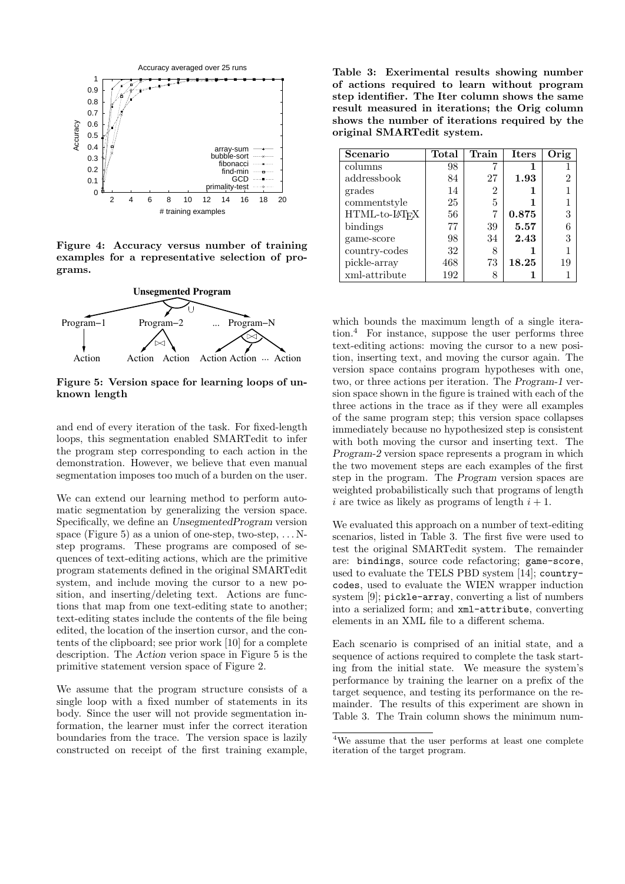

Figure 4: Accuracy versus number of training examples for a representative selection of programs.



Figure 5: Version space for learning loops of unknown length

and end of every iteration of the task. For fixed-length loops, this segmentation enabled SMARTedit to infer the program step corresponding to each action in the demonstration. However, we believe that even manual segmentation imposes too much of a burden on the user.

We can extend our learning method to perform automatic segmentation by generalizing the version space. Specifically, we define an UnsegmentedProgram version space (Figure 5) as a union of one-step, two-step,  $\dots$  Nstep programs. These programs are composed of sequences of text-editing actions, which are the primitive program statements defined in the original SMARTedit system, and include moving the cursor to a new position, and inserting/deleting text. Actions are functions that map from one text-editing state to another; text-editing states include the contents of the file being edited, the location of the insertion cursor, and the contents of the clipboard; see prior work [10] for a complete description. The Action verion space in Figure 5 is the primitive statement version space of Figure 2.

We assume that the program structure consists of a single loop with a fixed number of statements in its body. Since the user will not provide segmentation information, the learner must infer the correct iteration boundaries from the trace. The version space is lazily constructed on receipt of the first training example,

Table 3: Exerimental results showing number of actions required to learn without program step identifier. The Iter column shows the same result measured in iterations; the Orig column shows the number of iterations required by the original SMARTedit system.

| Scenario      | Total | Train | <b>Iters</b> | Orig |
|---------------|-------|-------|--------------|------|
| columns       | 98    |       |              |      |
| addressbook   | 84    | 27    | 1.93         | 2    |
| grades        | 14    | 2     |              |      |
| commentstyle  | 25    | 5     |              |      |
| HTML-to-LHFX  | 56    |       | 0.875        | 3    |
| bindings      | 77    | 39    | 5.57         | 6    |
| game-score    | 98    | 34    | 2.43         | 3    |
| country-codes | 32    | 8     |              |      |
| pickle-array  | 468   | 73    | 18.25        | 19   |
| xml-attribute | 192   |       |              |      |

which bounds the maximum length of a single iteration.<sup>4</sup> For instance, suppose the user performs three text-editing actions: moving the cursor to a new position, inserting text, and moving the cursor again. The version space contains program hypotheses with one, two, or three actions per iteration. The Program-1 version space shown in the figure is trained with each of the three actions in the trace as if they were all examples of the same program step; this version space collapses immediately because no hypothesized step is consistent with both moving the cursor and inserting text. The Program-2 version space represents a program in which the two movement steps are each examples of the first step in the program. The Program version spaces are weighted probabilistically such that programs of length i are twice as likely as programs of length  $i + 1$ .

We evaluated this approach on a number of text-editing scenarios, listed in Table 3. The first five were used to test the original SMARTedit system. The remainder are: bindings, source code refactoring; game-score, used to evaluate the TELS PBD system [14]; countrycodes, used to evaluate the WIEN wrapper induction system [9]; pickle-array, converting a list of numbers into a serialized form; and xml-attribute, converting elements in an XML file to a different schema.

Each scenario is comprised of an initial state, and a sequence of actions required to complete the task starting from the initial state. We measure the system's performance by training the learner on a prefix of the target sequence, and testing its performance on the remainder. The results of this experiment are shown in Table 3. The Train column shows the minimum num-

<sup>4</sup>We assume that the user performs at least one complete iteration of the target program.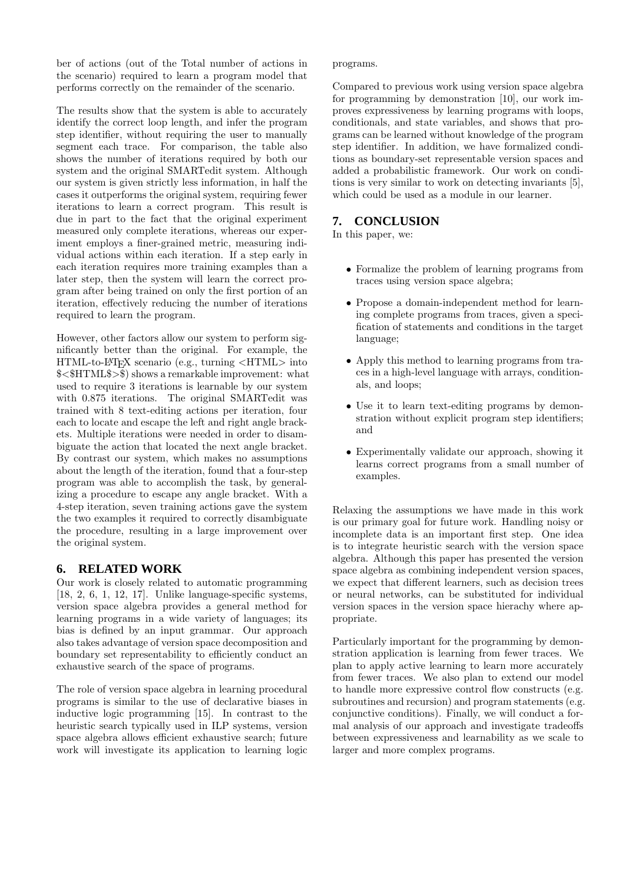ber of actions (out of the Total number of actions in the scenario) required to learn a program model that performs correctly on the remainder of the scenario.

The results show that the system is able to accurately identify the correct loop length, and infer the program step identifier, without requiring the user to manually segment each trace. For comparison, the table also shows the number of iterations required by both our system and the original SMARTedit system. Although our system is given strictly less information, in half the cases it outperforms the original system, requiring fewer iterations to learn a correct program. This result is due in part to the fact that the original experiment measured only complete iterations, whereas our experiment employs a finer-grained metric, measuring individual actions within each iteration. If a step early in each iteration requires more training examples than a later step, then the system will learn the correct program after being trained on only the first portion of an iteration, effectively reducing the number of iterations required to learn the program.

However, other factors allow our system to perform significantly better than the original. For example, the HTML-to-LATEX scenario (e.g., turning <HTML> into \$<\$HTML\$>\$) shows a remarkable improvement: what used to require 3 iterations is learnable by our system with 0.875 iterations. The original SMARTedit was trained with 8 text-editing actions per iteration, four each to locate and escape the left and right angle brackets. Multiple iterations were needed in order to disambiguate the action that located the next angle bracket. By contrast our system, which makes no assumptions about the length of the iteration, found that a four-step program was able to accomplish the task, by generalizing a procedure to escape any angle bracket. With a 4-step iteration, seven training actions gave the system the two examples it required to correctly disambiguate the procedure, resulting in a large improvement over the original system.

# **6. RELATED WORK**

Our work is closely related to automatic programming [18, 2, 6, 1, 12, 17]. Unlike language-specific systems, version space algebra provides a general method for learning programs in a wide variety of languages; its bias is defined by an input grammar. Our approach also takes advantage of version space decomposition and boundary set representability to efficiently conduct an exhaustive search of the space of programs.

The role of version space algebra in learning procedural programs is similar to the use of declarative biases in inductive logic programming [15]. In contrast to the heuristic search typically used in ILP systems, version space algebra allows efficient exhaustive search; future work will investigate its application to learning logic

#### programs.

Compared to previous work using version space algebra for programming by demonstration [10], our work improves expressiveness by learning programs with loops, conditionals, and state variables, and shows that programs can be learned without knowledge of the program step identifier. In addition, we have formalized conditions as boundary-set representable version spaces and added a probabilistic framework. Our work on conditions is very similar to work on detecting invariants [5], which could be used as a module in our learner.

# **7. CONCLUSION**

In this paper, we:

- Formalize the problem of learning programs from traces using version space algebra;
- Propose a domain-independent method for learning complete programs from traces, given a specification of statements and conditions in the target language;
- Apply this method to learning programs from traces in a high-level language with arrays, conditionals, and loops;
- Use it to learn text-editing programs by demonstration without explicit program step identifiers; and
- Experimentally validate our approach, showing it learns correct programs from a small number of examples.

Relaxing the assumptions we have made in this work is our primary goal for future work. Handling noisy or incomplete data is an important first step. One idea is to integrate heuristic search with the version space algebra. Although this paper has presented the version space algebra as combining independent version spaces, we expect that different learners, such as decision trees or neural networks, can be substituted for individual version spaces in the version space hierachy where appropriate.

Particularly important for the programming by demonstration application is learning from fewer traces. We plan to apply active learning to learn more accurately from fewer traces. We also plan to extend our model to handle more expressive control flow constructs (e.g. subroutines and recursion) and program statements (e.g. conjunctive conditions). Finally, we will conduct a formal analysis of our approach and investigate tradeoffs between expressiveness and learnability as we scale to larger and more complex programs.